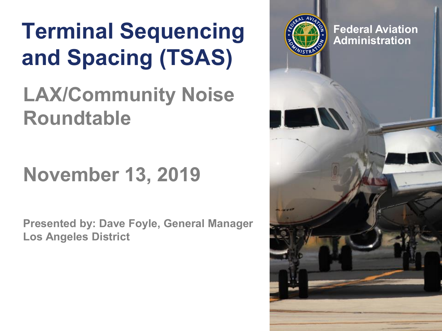# **Ferminal Sequencing Administration and Spacing (TSAS)**

#### **LAX/Community Noise Roundtable**

### **November 13, 2019**

**Presented by: Dave Foyle, General Manager Los Angeles District**

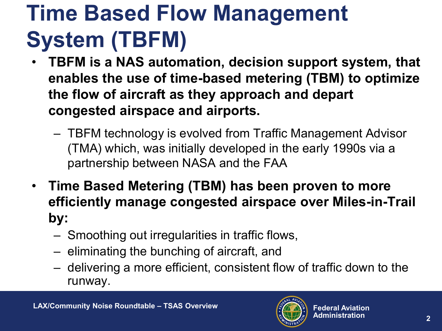# **Time Based Flow Management System (TBFM)**

- **TBFM is a NAS automation, decision support system, that enables the use of time-based metering (TBM) to optimize the flow of aircraft as they approach and depart congested airspace and airports.** 
	- TBFM technology is evolved from Traffic Management Advisor (TMA) which, was initially developed in the early 1990s via a partnership between NASA and the FAA
- **Time Based Metering (TBM) has been proven to more efficiently manage congested airspace over Miles-in-Trail by:**
	- Smoothing out irregularities in traffic flows,
	- eliminating the bunching of aircraft, and
	- delivering a more efficient, consistent flow of traffic down to the runway.

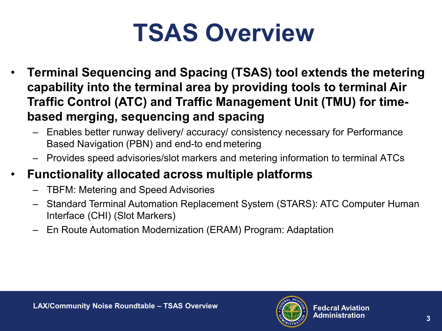# **TSAS Overview**

- **Terminal Sequencing and Spacing (TSAS) tool extends the metering capability into the terminal area by providing tools to terminal Air Traffic Control (ATC) and Traffic Management Unit (TMU) for timebased merging, sequencing and spacing**
	- Enables better runway delivery/ accuracy/ consistency necessary for Performance Based Navigation (PBN) and end-to end metering
	- Provides speed advisories/slot markers and metering information to terminal ATCs

#### • **Functionality allocated across multiple platforms**

- TBFM: Metering and Speed Advisories
- Standard Terminal Automation Replacement System (STARS): ATC Computer Human Interface (CHI) (Slot Markers)
- En Route Automation Modernization (ERAM) Program: Adaptation

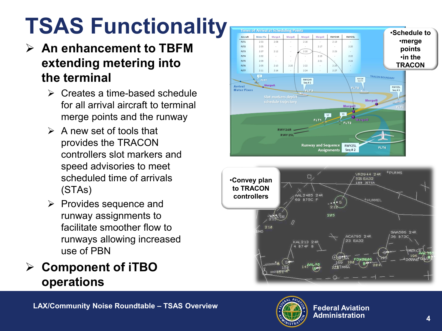# **TSAS Functionality**

- **An enhancement to TBFM extending metering into the terminal**
	- $\triangleright$  Creates a time-based schedule for all arrival aircraft to terminal merge points and the runway
	- $\triangleright$  A new set of tools that provides the TRACON controllers slot markers and speed advisories to meet scheduled time of arrivals (STAs)
	- $\triangleright$  Provides sequence and runway assignments to facilitate smoother flow to runways allowing increased use of PBN
- **Component of iTBO operations**





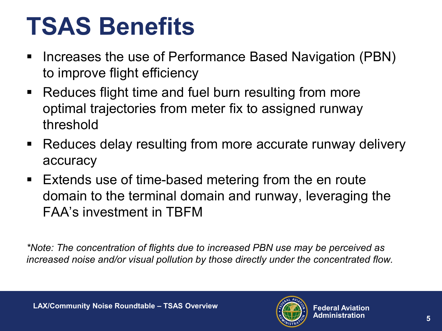# **TSAS Benefits**

- **Increases the use of Performance Based Navigation (PBN)** to improve flight efficiency
- Reduces flight time and fuel burn resulting from more optimal trajectories from meter fix to assigned runway threshold
- Reduces delay resulting from more accurate runway delivery accuracy
- **Extends use of time-based metering from the en route** domain to the terminal domain and runway, leveraging the FAA's investment in TBFM

*\*Note: The concentration of flights due to increased PBN use may be perceived as increased noise and/or visual pollution by those directly under the concentrated flow.*